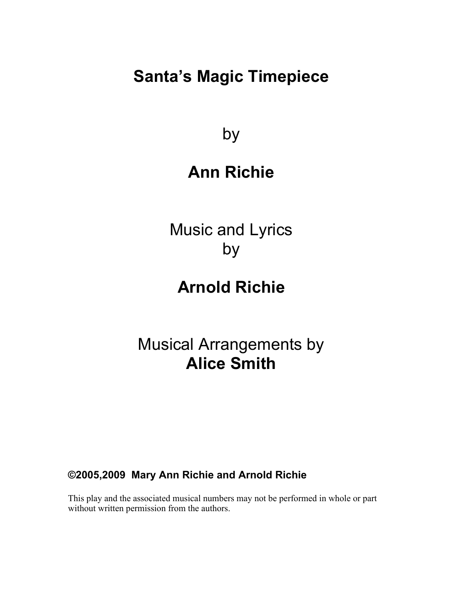# **Santa's Magic Timepiece**

by

# **Ann Richie**

Music and Lyrics by

# **Arnold Richie**

Musical Arrangements by **Alice Smith**

**©2005,2009 Mary Ann Richie and Arnold Richie**

This play and the associated musical numbers may not be performed in whole or part without written permission from the authors.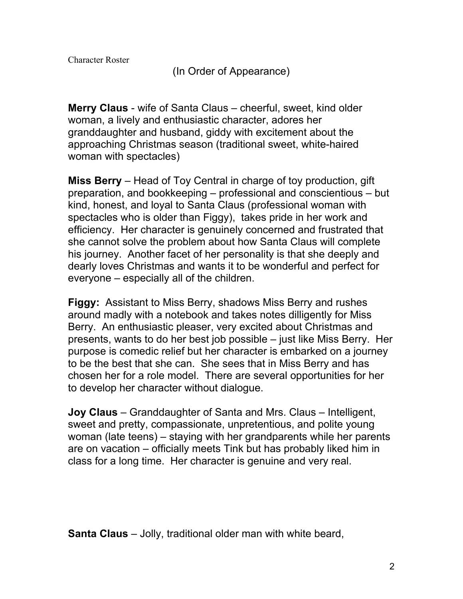(In Order of Appearance)

**Merry Claus** - wife of Santa Claus – cheerful, sweet, kind older woman, a lively and enthusiastic character, adores her granddaughter and husband, giddy with excitement about the approaching Christmas season (traditional sweet, white-haired woman with spectacles)

**Miss Berry** – Head of Toy Central in charge of toy production, gift preparation, and bookkeeping – professional and conscientious – but kind, honest, and loyal to Santa Claus (professional woman with spectacles who is older than Figgy), takes pride in her work and efficiency. Her character is genuinely concerned and frustrated that she cannot solve the problem about how Santa Claus will complete his journey. Another facet of her personality is that she deeply and dearly loves Christmas and wants it to be wonderful and perfect for everyone – especially all of the children.

**Figgy:** Assistant to Miss Berry, shadows Miss Berry and rushes around madly with a notebook and takes notes dilligently for Miss Berry. An enthusiastic pleaser, very excited about Christmas and presents, wants to do her best job possible – just like Miss Berry. Her purpose is comedic relief but her character is embarked on a journey to be the best that she can. She sees that in Miss Berry and has chosen her for a role model. There are several opportunities for her to develop her character without dialogue.

**Joy Claus** – Granddaughter of Santa and Mrs. Claus – Intelligent, sweet and pretty, compassionate, unpretentious, and polite young woman (late teens) – staying with her grandparents while her parents are on vacation – officially meets Tink but has probably liked him in class for a long time. Her character is genuine and very real.

**Santa Claus** – Jolly, traditional older man with white beard,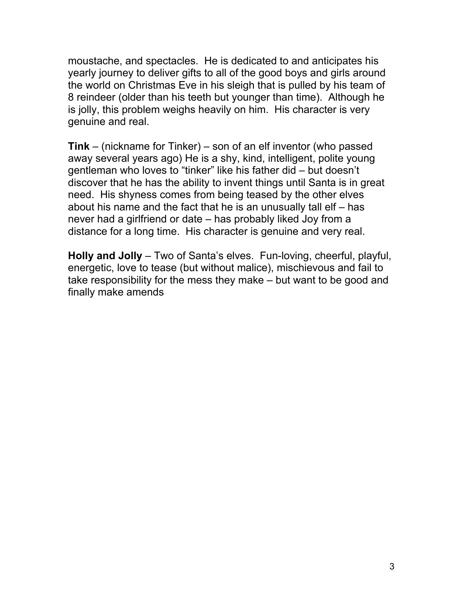moustache, and spectacles. He is dedicated to and anticipates his yearly journey to deliver gifts to all of the good boys and girls around the world on Christmas Eve in his sleigh that is pulled by his team of 8 reindeer (older than his teeth but younger than time). Although he is jolly, this problem weighs heavily on him. His character is very genuine and real.

**Tink** – (nickname for Tinker) – son of an elf inventor (who passed away several years ago) He is a shy, kind, intelligent, polite young gentleman who loves to "tinker" like his father did – but doesn't discover that he has the ability to invent things until Santa is in great need. His shyness comes from being teased by the other elves about his name and the fact that he is an unusually tall elf – has never had a girlfriend or date – has probably liked Joy from a distance for a long time. His character is genuine and very real.

**Holly and Jolly** – Two of Santa's elves. Fun-loving, cheerful, playful, energetic, love to tease (but without malice), mischievous and fail to take responsibility for the mess they make – but want to be good and finally make amends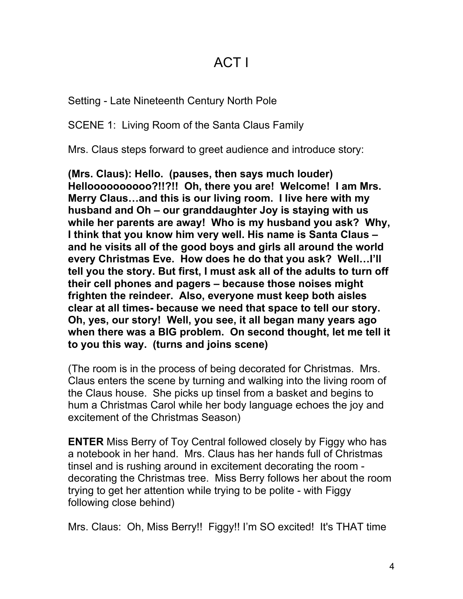### ACT I

Setting - Late Nineteenth Century North Pole

SCENE 1: Living Room of the Santa Claus Family

Mrs. Claus steps forward to greet audience and introduce story:

**(Mrs. Claus): Hello. (pauses, then says much louder) Helloooooooooo?!!?!! Oh, there you are! Welcome! I am Mrs. Merry Claus…and this is our living room. I live here with my husband and Oh – our granddaughter Joy is staying with us while her parents are away! Who is my husband you ask? Why, I think that you know him very well. His name is Santa Claus – and he visits all of the good boys and girls all around the world every Christmas Eve. How does he do that you ask? Well…I'll tell you the story. But first, I must ask all of the adults to turn off their cell phones and pagers – because those noises might frighten the reindeer. Also, everyone must keep both aisles clear at all times- because we need that space to tell our story. Oh, yes, our story! Well, you see, it all began many years ago when there was a BIG problem. On second thought, let me tell it to you this way. (turns and joins scene)**

(The room is in the process of being decorated for Christmas. Mrs. Claus enters the scene by turning and walking into the living room of the Claus house. She picks up tinsel from a basket and begins to hum a Christmas Carol while her body language echoes the joy and excitement of the Christmas Season)

**ENTER** Miss Berry of Toy Central followed closely by Figgy who has a notebook in her hand. Mrs. Claus has her hands full of Christmas tinsel and is rushing around in excitement decorating the room decorating the Christmas tree. Miss Berry follows her about the room trying to get her attention while trying to be polite - with Figgy following close behind)

Mrs. Claus: Oh, Miss Berry!! Figgy!! I'm SO excited! It's THAT time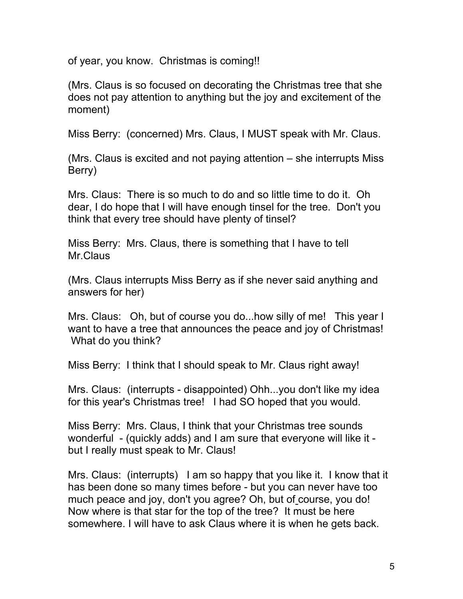of year, you know. Christmas is coming!!

(Mrs. Claus is so focused on decorating the Christmas tree that she does not pay attention to anything but the joy and excitement of the moment)

Miss Berry: (concerned) Mrs. Claus, I MUST speak with Mr. Claus.

(Mrs. Claus is excited and not paying attention – she interrupts Miss Berry)

Mrs. Claus: There is so much to do and so little time to do it. Oh dear, I do hope that I will have enough tinsel for the tree. Don't you think that every tree should have plenty of tinsel?

Miss Berry: Mrs. Claus, there is something that I have to tell Mr.Claus

(Mrs. Claus interrupts Miss Berry as if she never said anything and answers for her)

Mrs. Claus: Oh, but of course you do...how silly of me! This year I want to have a tree that announces the peace and joy of Christmas! What do you think?

Miss Berry: I think that I should speak to Mr. Claus right away!

Mrs. Claus: (interrupts - disappointed) Ohh...you don't like my idea for this year's Christmas tree! I had SO hoped that you would.

Miss Berry: Mrs. Claus, I think that your Christmas tree sounds wonderful - (quickly adds) and I am sure that everyone will like it but I really must speak to Mr. Claus!

Mrs. Claus: (interrupts) I am so happy that you like it. I know that it has been done so many times before - but you can never have too much peace and joy, don't you agree? Oh, but of course, you do! Now where is that star for the top of the tree? It must be here somewhere. I will have to ask Claus where it is when he gets back.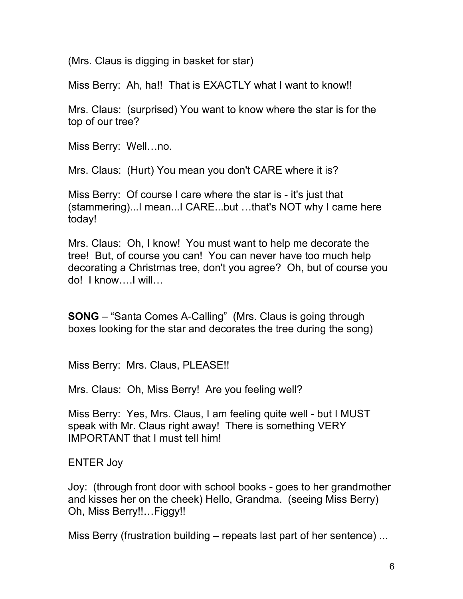(Mrs. Claus is digging in basket for star)

Miss Berry: Ah, ha!! That is EXACTLY what I want to know!!

Mrs. Claus: (surprised) You want to know where the star is for the top of our tree?

Miss Berry: Well…no.

Mrs. Claus: (Hurt) You mean you don't CARE where it is?

Miss Berry: Of course I care where the star is - it's just that (stammering)...I mean...I CARE...but …that's NOT why I came here today!

Mrs. Claus: Oh, I know! You must want to help me decorate the tree! But, of course you can! You can never have too much help decorating a Christmas tree, don't you agree? Oh, but of course you do! I know….I will…

**SONG** – "Santa Comes A-Calling" (Mrs. Claus is going through boxes looking for the star and decorates the tree during the song)

Miss Berry: Mrs. Claus, PLEASE!!

Mrs. Claus: Oh, Miss Berry! Are you feeling well?

Miss Berry: Yes, Mrs. Claus, I am feeling quite well - but I MUST speak with Mr. Claus right away! There is something VERY IMPORTANT that I must tell him!

ENTER Joy

Joy: (through front door with school books - goes to her grandmother and kisses her on the cheek) Hello, Grandma. (seeing Miss Berry) Oh, Miss Berry!!…Figgy!!

Miss Berry (frustration building – repeats last part of her sentence) ...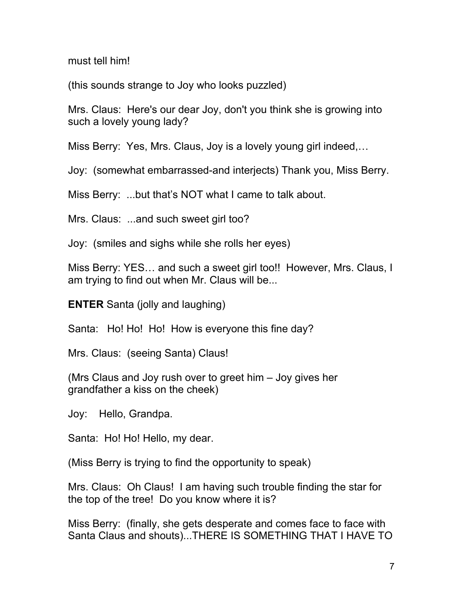must tell him!

(this sounds strange to Joy who looks puzzled)

Mrs. Claus: Here's our dear Joy, don't you think she is growing into such a lovely young lady?

Miss Berry: Yes, Mrs. Claus, Joy is a lovely young girl indeed,…

Joy: (somewhat embarrassed-and interjects) Thank you, Miss Berry.

Miss Berry: ...but that's NOT what I came to talk about.

Mrs. Claus: ...and such sweet girl too?

Joy: (smiles and sighs while she rolls her eyes)

Miss Berry: YES… and such a sweet girl too!! However, Mrs. Claus, I am trying to find out when Mr. Claus will be...

**ENTER** Santa (jolly and laughing)

Santa: Ho! Ho! Ho! How is everyone this fine day?

Mrs. Claus: (seeing Santa) Claus!

(Mrs Claus and Joy rush over to greet him – Joy gives her grandfather a kiss on the cheek)

Joy: Hello, Grandpa.

Santa: Ho! Ho! Hello, my dear.

(Miss Berry is trying to find the opportunity to speak)

Mrs. Claus: Oh Claus! I am having such trouble finding the star for the top of the tree! Do you know where it is?

Miss Berry: (finally, she gets desperate and comes face to face with Santa Claus and shouts)...THERE IS SOMETHING THAT I HAVE TO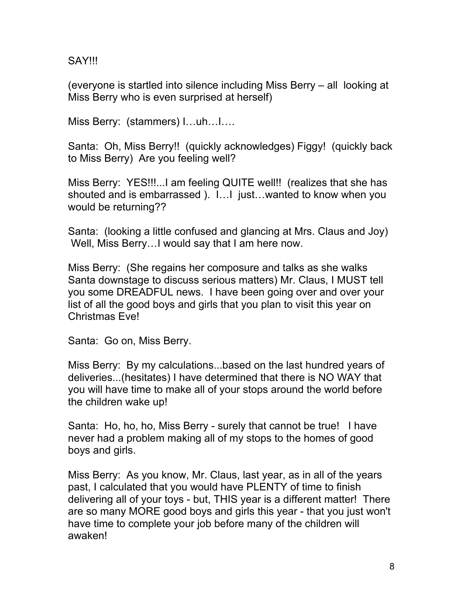SAY!!!

(everyone is startled into silence including Miss Berry – all looking at Miss Berry who is even surprised at herself)

Miss Berry: (stammers) I…uh…I….

Santa: Oh, Miss Berry!! (quickly acknowledges) Figgy! (quickly back to Miss Berry) Are you feeling well?

Miss Berry: YES!!!...I am feeling QUITE well!! (realizes that she has shouted and is embarrassed ). I…I just…wanted to know when you would be returning??

Santa: (looking a little confused and glancing at Mrs. Claus and Joy) Well, Miss Berry…I would say that I am here now.

Miss Berry: (She regains her composure and talks as she walks Santa downstage to discuss serious matters) Mr. Claus, I MUST tell you some DREADFUL news. I have been going over and over your list of all the good boys and girls that you plan to visit this year on Christmas Eve!

Santa: Go on, Miss Berry.

Miss Berry: By my calculations...based on the last hundred years of deliveries...(hesitates) I have determined that there is NO WAY that you will have time to make all of your stops around the world before the children wake up!

Santa: Ho, ho, ho, Miss Berry - surely that cannot be true! I have never had a problem making all of my stops to the homes of good boys and girls.

Miss Berry: As you know, Mr. Claus, last year, as in all of the years past, I calculated that you would have PLENTY of time to finish delivering all of your toys - but, THIS year is a different matter! There are so many MORE good boys and girls this year - that you just won't have time to complete your job before many of the children will awaken!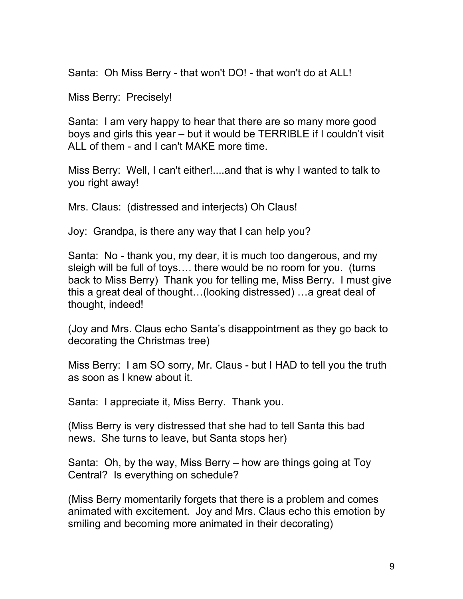Santa: Oh Miss Berry - that won't DO! - that won't do at ALL!

Miss Berry: Precisely!

Santa: I am very happy to hear that there are so many more good boys and girls this year – but it would be TERRIBLE if I couldn't visit ALL of them - and I can't MAKE more time.

Miss Berry: Well, I can't either!....and that is why I wanted to talk to you right away!

Mrs. Claus: (distressed and interjects) Oh Claus!

Joy: Grandpa, is there any way that I can help you?

Santa: No - thank you, my dear, it is much too dangerous, and my sleigh will be full of toys…. there would be no room for you. (turns back to Miss Berry) Thank you for telling me, Miss Berry. I must give this a great deal of thought…(looking distressed) …a great deal of thought, indeed!

(Joy and Mrs. Claus echo Santa's disappointment as they go back to decorating the Christmas tree)

Miss Berry: I am SO sorry, Mr. Claus - but I HAD to tell you the truth as soon as I knew about it.

Santa: I appreciate it, Miss Berry. Thank you.

(Miss Berry is very distressed that she had to tell Santa this bad news. She turns to leave, but Santa stops her)

Santa: Oh, by the way, Miss Berry – how are things going at Toy Central? Is everything on schedule?

(Miss Berry momentarily forgets that there is a problem and comes animated with excitement. Joy and Mrs. Claus echo this emotion by smiling and becoming more animated in their decorating)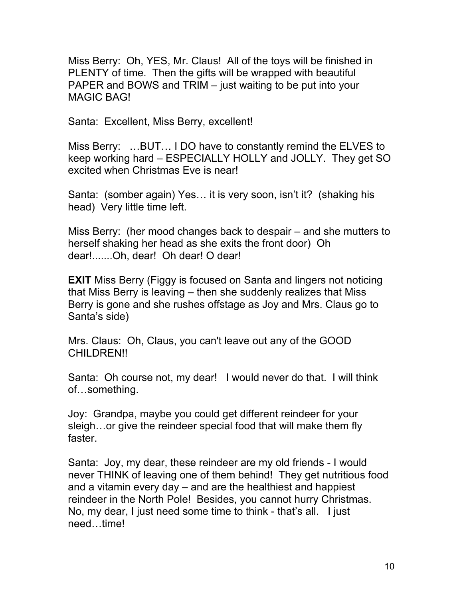Miss Berry: Oh, YES, Mr. Claus! All of the toys will be finished in PLENTY of time. Then the gifts will be wrapped with beautiful PAPER and BOWS and TRIM – just waiting to be put into your MAGIC BAG!

Santa: Excellent, Miss Berry, excellent!

Miss Berry: …BUT… I DO have to constantly remind the ELVES to keep working hard – ESPECIALLY HOLLY and JOLLY. They get SO excited when Christmas Eve is near!

Santa: (somber again) Yes… it is very soon, isn't it? (shaking his head) Very little time left.

Miss Berry: (her mood changes back to despair – and she mutters to herself shaking her head as she exits the front door) Oh dear!.......Oh, dear! Oh dear! O dear!

**EXIT** Miss Berry (Figgy is focused on Santa and lingers not noticing that Miss Berry is leaving – then she suddenly realizes that Miss Berry is gone and she rushes offstage as Joy and Mrs. Claus go to Santa's side)

Mrs. Claus: Oh, Claus, you can't leave out any of the GOOD CHILDREN!!

Santa: Oh course not, my dear! I would never do that. I will think of…something.

Joy: Grandpa, maybe you could get different reindeer for your sleigh...or give the reindeer special food that will make them fly faster.

Santa: Joy, my dear, these reindeer are my old friends - I would never THINK of leaving one of them behind! They get nutritious food and a vitamin every day – and are the healthiest and happiest reindeer in the North Pole! Besides, you cannot hurry Christmas. No, my dear, I just need some time to think - that's all. I just need…time!